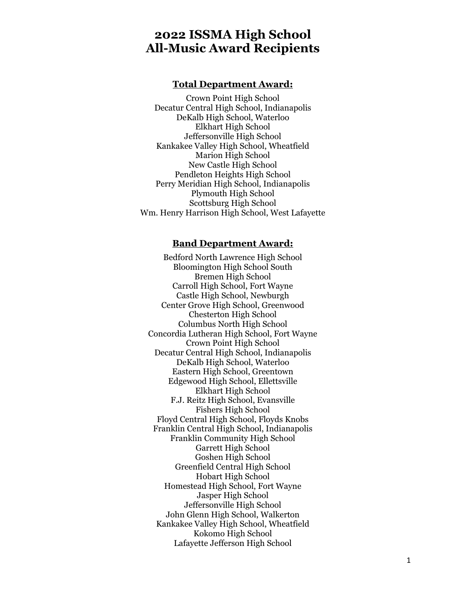### **2022 ISSMA High School All-Music Award Recipients**

#### **Total Department Award:**

Crown Point High School Decatur Central High School, Indianapolis DeKalb High School, Waterloo Elkhart High School Jeffersonville High School Kankakee Valley High School, Wheatfield Marion High School New Castle High School Pendleton Heights High School Perry Meridian High School, Indianapolis Plymouth High School Scottsburg High School Wm. Henry Harrison High School, West Lafayette

#### **Band Department Award:**

Bedford North Lawrence High School Bloomington High School South Bremen High School Carroll High School, Fort Wayne Castle High School, Newburgh Center Grove High School, Greenwood Chesterton High School Columbus North High School Concordia Lutheran High School, Fort Wayne Crown Point High School Decatur Central High School, Indianapolis DeKalb High School, Waterloo Eastern High School, Greentown Edgewood High School, Ellettsville Elkhart High School F.J. Reitz High School, Evansville Fishers High School Floyd Central High School, Floyds Knobs Franklin Central High School, Indianapolis Franklin Community High School Garrett High School Goshen High School Greenfield Central High School Hobart High School Homestead High School, Fort Wayne Jasper High School Jeffersonville High School John Glenn High School, Walkerton Kankakee Valley High School, Wheatfield Kokomo High School Lafayette Jefferson High School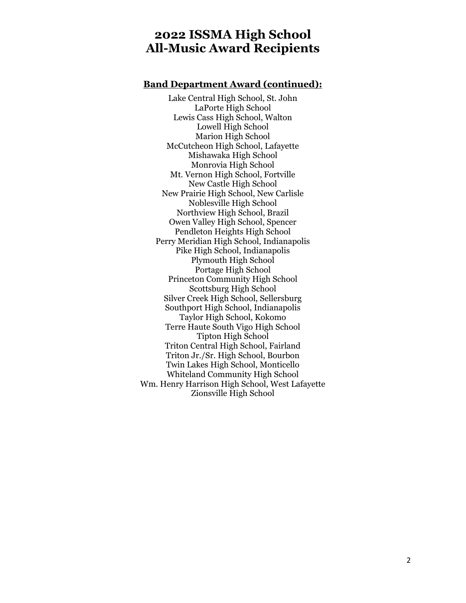# **2022 ISSMA High School All-Music Award Recipients**

### **Band Department Award (continued):**

Lake Central High School, St. John LaPorte High School Lewis Cass High School, Walton Lowell High School Marion High School McCutcheon High School, Lafayette Mishawaka High School Monrovia High School Mt. Vernon High School, Fortville New Castle High School New Prairie High School, New Carlisle Noblesville High School Northview High School, Brazil Owen Valley High School, Spencer Pendleton Heights High School Perry Meridian High School, Indianapolis Pike High School, Indianapolis Plymouth High School Portage High School Princeton Community High School Scottsburg High School Silver Creek High School, Sellersburg Southport High School, Indianapolis Taylor High School, Kokomo Terre Haute South Vigo High School Tipton High School Triton Central High School, Fairland Triton Jr./Sr. High School, Bourbon Twin Lakes High School, Monticello Whiteland Community High School Wm. Henry Harrison High School, West Lafayette Zionsville High School